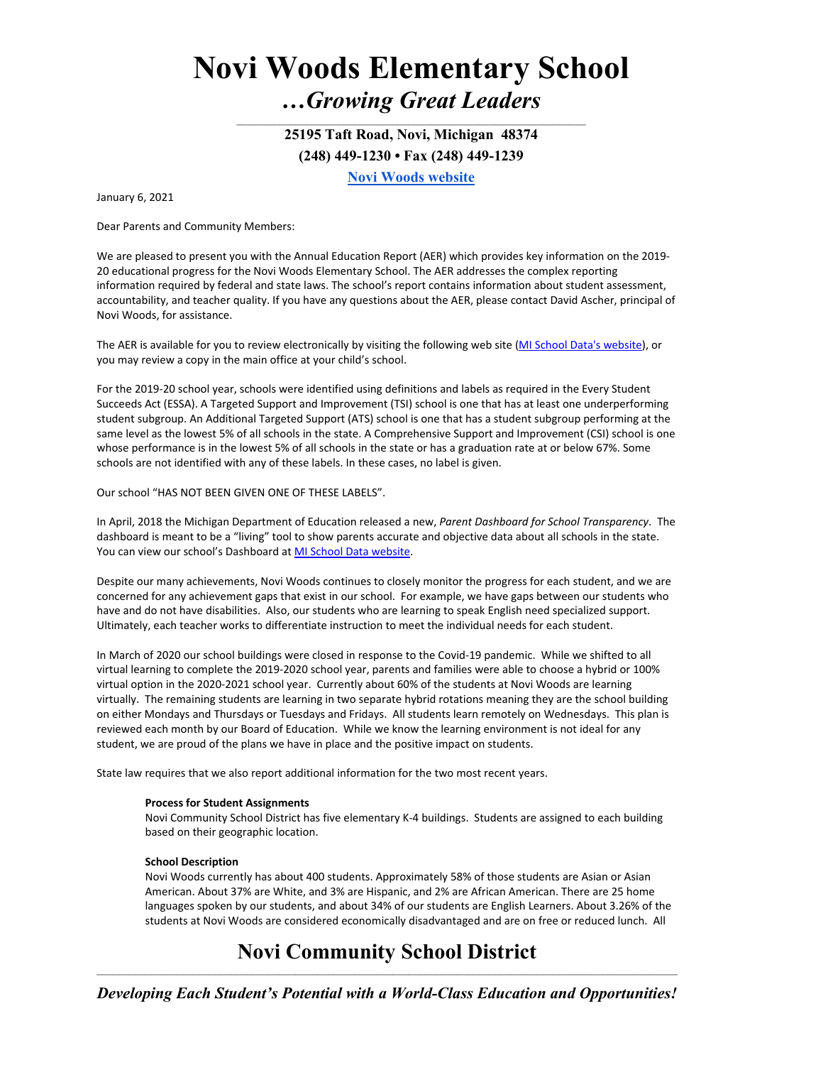# **Novi Woods Elementary School**  *…Growing Great Leaders*

**25195 Taft Road, Novi, Michigan 48374 (248) 449-1230 • Fax (248) 449-1239 [Novi Woods website](https://nw.novi.k12.mi.us/)**

 $\mathcal{L}_\text{max} = \mathcal{L}_\text{max} = \mathcal{L}_\text{max} = \mathcal{L}_\text{max} = \mathcal{L}_\text{max} = \mathcal{L}_\text{max} = \mathcal{L}_\text{max} = \mathcal{L}_\text{max} = \mathcal{L}_\text{max} = \mathcal{L}_\text{max} = \mathcal{L}_\text{max} = \mathcal{L}_\text{max} = \mathcal{L}_\text{max} = \mathcal{L}_\text{max} = \mathcal{L}_\text{max} = \mathcal{L}_\text{max} = \mathcal{L}_\text{max} = \mathcal{L}_\text{max} = \mathcal{$ 

January 6, 2021

Dear Parents and Community Members:

We are pleased to present you with the Annual Education Report (AER) which provides key information on the 2019- 20 educational progress for the Novi Woods Elementary School. The AER addresses the complex reporting information required by federal and state laws. The school's report contains information about student assessment, accountability, and teacher quality. If you have any questions about the AER, please contact David Ascher, principal of Novi Woods, for assistance.

The AER is available for you to review electronically by visiting the following web site [\(MI School Data's website\)](https://bit.ly/39CRti7), or you may review a copy in the main office at your child's school.

For the 2019-20 school year, schools were identified using definitions and labels as required in the Every Student Succeeds Act (ESSA). A Targeted Support and Improvement (TSI) school is one that has at least one underperforming student subgroup. An Additional Targeted Support (ATS) school is one that has a student subgroup performing at the same level as the lowest 5% of all schools in the state. A Comprehensive Support and Improvement (CSI) school is one whose performance is in the lowest 5% of all schools in the state or has a graduation rate at or below 67%. Some schools are not identified with any of these labels. In these cases, no label is given.

## Our school "HAS NOT BEEN GIVEN ONE OF THESE LABELS".

In April, 2018 the Michigan Department of Education released a new, *Parent Dashboard for School Transparency*. The dashboard is meant to be a "living" tool to show parents accurate and objective data about all schools in the state. You can view our school's Dashboard a[t MI School Data website.](https://bit.ly/3lv2Xq4)

Despite our many achievements, Novi Woods continues to closely monitor the progress for each student, and we are concerned for any achievement gaps that exist in our school. For example, we have gaps between our students who have and do not have disabilities. Also, our students who are learning to speak English need specialized support. Ultimately, each teacher works to differentiate instruction to meet the individual needs for each student.

In March of 2020 our school buildings were closed in response to the Covid-19 pandemic. While we shifted to all virtual learning to complete the 2019-2020 school year, parents and families were able to choose a hybrid or 100% virtual option in the 2020-2021 school year. Currently about 60% of the students at Novi Woods are learning virtually. The remaining students are learning in two separate hybrid rotations meaning they are the school building on either Mondays and Thursdays or Tuesdays and Fridays. All students learn remotely on Wednesdays. This plan is reviewed each month by our Board of Education. While we know the learning environment is not ideal for any student, we are proud of the plans we have in place and the positive impact on students.

State law requires that we also report additional information for the two most recent years.

## **Process for Student Assignments**

Novi Community School District has five elementary K-4 buildings. Students are assigned to each building based on their geographic location.

## **School Description**

Novi Woods currently has about 400 students. Approximately 58% of those students are Asian or Asian American. About 37% are White, and 3% are Hispanic, and 2% are African American. There are 25 home languages spoken by our students, and about 34% of our students are English Learners. About 3.26% of the students at Novi Woods are considered economically disadvantaged and are on free or reduced lunch. All

## **Novi Community School District** \_\_\_\_\_\_\_\_\_\_\_\_\_\_\_\_\_\_\_\_\_\_\_\_\_\_\_\_\_\_\_\_\_\_\_\_\_\_\_\_\_\_\_\_\_\_\_\_\_\_\_\_\_\_\_\_\_\_\_\_\_\_\_\_\_\_\_\_\_\_\_\_\_\_\_\_\_\_\_\_\_\_\_\_\_\_\_\_\_\_\_\_\_\_\_\_\_\_\_\_\_\_\_\_\_\_\_\_

*Developing Each Student's Potential with a World-Class Education and Opportunities!*